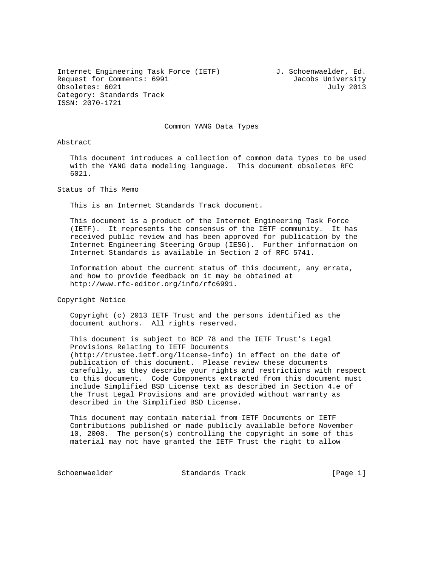Internet Engineering Task Force (IETF) J. Schoenwaelder, Ed. Request for Comments: 6991 Jacobs University Obsoletes: 6021 July 2013 Category: Standards Track ISSN: 2070-1721

Common YANG Data Types

Abstract

 This document introduces a collection of common data types to be used with the YANG data modeling language. This document obsoletes RFC 6021.

Status of This Memo

This is an Internet Standards Track document.

 This document is a product of the Internet Engineering Task Force (IETF). It represents the consensus of the IETF community. It has received public review and has been approved for publication by the Internet Engineering Steering Group (IESG). Further information on Internet Standards is available in Section 2 of RFC 5741.

 Information about the current status of this document, any errata, and how to provide feedback on it may be obtained at http://www.rfc-editor.org/info/rfc6991.

Copyright Notice

 Copyright (c) 2013 IETF Trust and the persons identified as the document authors. All rights reserved.

 This document is subject to BCP 78 and the IETF Trust's Legal Provisions Relating to IETF Documents (http://trustee.ietf.org/license-info) in effect on the date of publication of this document. Please review these documents carefully, as they describe your rights and restrictions with respect to this document. Code Components extracted from this document must include Simplified BSD License text as described in Section 4.e of the Trust Legal Provisions and are provided without warranty as described in the Simplified BSD License.

 This document may contain material from IETF Documents or IETF Contributions published or made publicly available before November 10, 2008. The person(s) controlling the copyright in some of this material may not have granted the IETF Trust the right to allow

Schoenwaelder Standards Track [Page 1]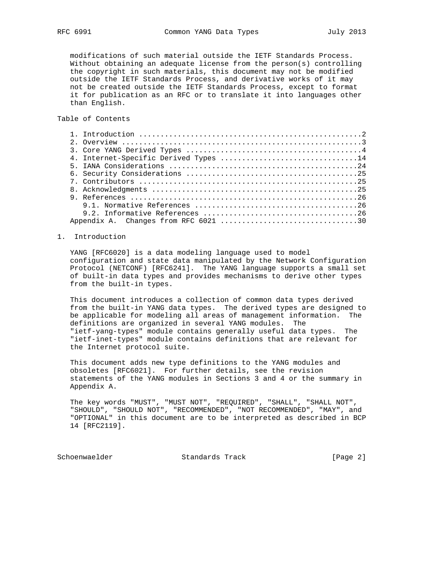modifications of such material outside the IETF Standards Process. Without obtaining an adequate license from the person(s) controlling the copyright in such materials, this document may not be modified outside the IETF Standards Process, and derivative works of it may not be created outside the IETF Standards Process, except to format it for publication as an RFC or to translate it into languages other than English.

Table of Contents

| 4. Internet-Specific Derived Types 14 |
|---------------------------------------|
|                                       |
|                                       |
|                                       |
|                                       |
|                                       |
|                                       |
|                                       |
|                                       |

### 1. Introduction

 YANG [RFC6020] is a data modeling language used to model configuration and state data manipulated by the Network Configuration Protocol (NETCONF) [RFC6241]. The YANG language supports a small set of built-in data types and provides mechanisms to derive other types from the built-in types.

 This document introduces a collection of common data types derived from the built-in YANG data types. The derived types are designed to be applicable for modeling all areas of management information. The definitions are organized in several YANG modules. The "ietf-yang-types" module contains generally useful data types. The "ietf-inet-types" module contains definitions that are relevant for the Internet protocol suite.

 This document adds new type definitions to the YANG modules and obsoletes [RFC6021]. For further details, see the revision statements of the YANG modules in Sections 3 and 4 or the summary in Appendix A.

 The key words "MUST", "MUST NOT", "REQUIRED", "SHALL", "SHALL NOT", "SHOULD", "SHOULD NOT", "RECOMMENDED", "NOT RECOMMENDED", "MAY", and "OPTIONAL" in this document are to be interpreted as described in BCP 14 [RFC2119].

Schoenwaelder **Standards Track** [Page 2]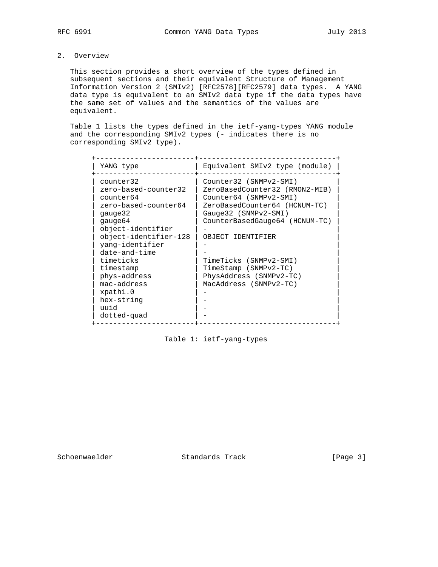# 2. Overview

 This section provides a short overview of the types defined in subsequent sections and their equivalent Structure of Management Information Version 2 (SMIv2) [RFC2578][RFC2579] data types. A YANG data type is equivalent to an SMIv2 data type if the data types have the same set of values and the semantics of the values are equivalent.

 Table 1 lists the types defined in the ietf-yang-types YANG module and the corresponding SMIv2 types (- indicates there is no corresponding SMIv2 type).

| YANG type                                                                                                                                                                                                                                                                                | Equivalent SMIv2 type (module)                                                                                                                                                                                                                                                                             |
|------------------------------------------------------------------------------------------------------------------------------------------------------------------------------------------------------------------------------------------------------------------------------------------|------------------------------------------------------------------------------------------------------------------------------------------------------------------------------------------------------------------------------------------------------------------------------------------------------------|
| counter32<br>zero-based-counter32<br>counter64<br>zero-based-counter64<br>qauqe32<br>qauqe64<br>object-identifier<br>object-identifier-128<br>yang-identifier<br>date-and-time<br>timeticks<br>timestamp<br>phys-address<br>mac-address<br>xpath1.0<br>hex-string<br>uuid<br>dotted-quad | Counter32 (SNMPv2-SMI)<br>ZeroBasedCounter32 (RMON2-MIB)<br>Counter64 (SNMPv2-SMI)<br>ZeroBasedCounter64 (HCNUM-TC)<br>Gauge32 (SNMPv2-SMI)<br>CounterBasedGauge64 (HCNUM-TC)<br>OBJECT IDENTIFIER<br>TimeTicks (SNMPv2-SMI)<br>TimeStamp (SNMPv2-TC)<br>PhysAddress (SNMPv2-TC)<br>MacAddress (SNMPv2-TC) |
|                                                                                                                                                                                                                                                                                          |                                                                                                                                                                                                                                                                                                            |

## Table 1: ietf-yang-types

Schoenwaelder Standards Track [Page 3]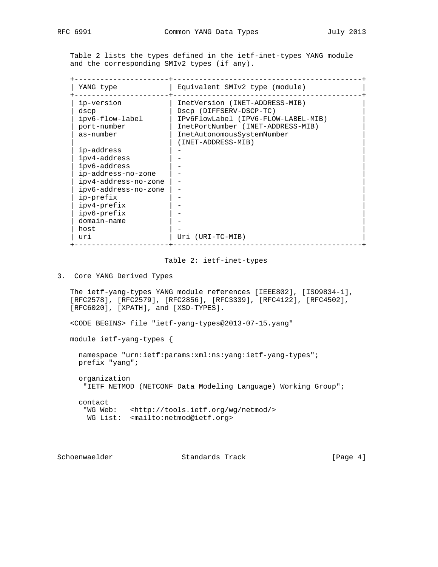Table 2 lists the types defined in the ietf-inet-types YANG module and the corresponding SMIv2 types (if any).

| YANG type            | Equivalent SMIv2 type (module)      |
|----------------------|-------------------------------------|
| ip-version           | InetVersion (INET-ADDRESS-MIB)      |
| dscp                 | Dscp (DIFFSERV-DSCP-TC)             |
| ipv6-flow-label      | IPv6FlowLabel (IPV6-FLOW-LABEL-MIB) |
| port-number          | InetPortNumber (INET-ADDRESS-MIB)   |
| as-number            | InetAutonomousSystemNumber          |
|                      | (INET-ADDRESS-MIB)                  |
| ip-address           |                                     |
| ipv4-address         |                                     |
| ipv6-address         |                                     |
| ip-address-no-zone   |                                     |
| ipv4-address-no-zone |                                     |
| ipv6-address-no-zone |                                     |
| ip-prefix            |                                     |
| ipv4-prefix          |                                     |
| ipv6-prefix          |                                     |
| domain-name          |                                     |
| host                 |                                     |
| uri                  | Uri (URI-TC-MIB)                    |

#### Table 2: ietf-inet-types

3. Core YANG Derived Types

 The ietf-yang-types YANG module references [IEEE802], [ISO9834-1], [RFC2578], [RFC2579], [RFC2856], [RFC3339], [RFC4122], [RFC4502], [RFC6020], [XPATH], and [XSD-TYPES].

<CODE BEGINS> file "ietf-yang-types@2013-07-15.yang"

module ietf-yang-types {

 namespace "urn:ietf:params:xml:ns:yang:ietf-yang-types"; prefix "yang";

 organization "IETF NETMOD (NETCONF Data Modeling Language) Working Group";

 contact "WG Web: <http://tools.ietf.org/wg/netmod/> WG List: <mailto:netmod@ietf.org>

Schoenwaelder Standards Track [Page 4]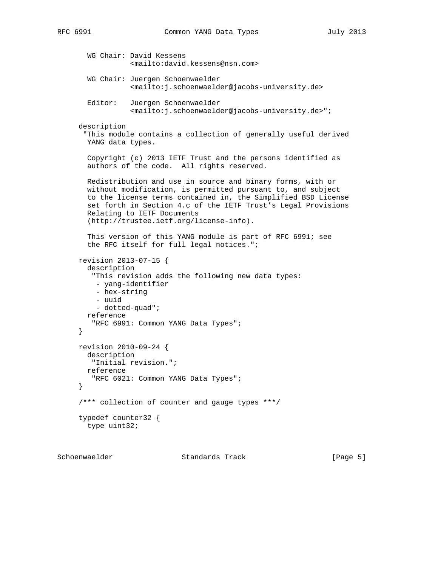```
 WG Chair: David Kessens
             <mailto:david.kessens@nsn.com>
   WG Chair: Juergen Schoenwaelder
             <mailto:j.schoenwaelder@jacobs-university.de>
   Editor: Juergen Schoenwaelder
             <mailto:j.schoenwaelder@jacobs-university.de>";
 description
  "This module contains a collection of generally useful derived
  YANG data types.
  Copyright (c) 2013 IETF Trust and the persons identified as
   authors of the code. All rights reserved.
  Redistribution and use in source and binary forms, with or
  without modification, is permitted pursuant to, and subject
  to the license terms contained in, the Simplified BSD License
   set forth in Section 4.c of the IETF Trust's Legal Provisions
  Relating to IETF Documents
   (http://trustee.ietf.org/license-info).
   This version of this YANG module is part of RFC 6991; see
   the RFC itself for full legal notices.";
 revision 2013-07-15 {
   description
    "This revision adds the following new data types:
    - yang-identifier
     - hex-string
     - uuid
     - dotted-quad";
  reference
    "RFC 6991: Common YANG Data Types";
 }
 revision 2010-09-24 {
  description
    "Initial revision.";
  reference
    "RFC 6021: Common YANG Data Types";
 }
 /*** collection of counter and gauge types ***/
 typedef counter32 {
  type uint32;
```
Schoenwaelder Standards Track [Page 5]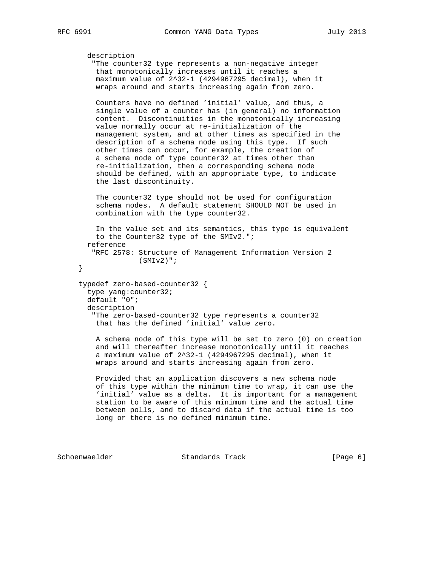```
 description
    "The counter32 type represents a non-negative integer
    that monotonically increases until it reaches a
    maximum value of 2^32-1 (4294967295 decimal), when it
    wraps around and starts increasing again from zero.
    Counters have no defined 'initial' value, and thus, a
    single value of a counter has (in general) no information
    content. Discontinuities in the monotonically increasing
    value normally occur at re-initialization of the
    management system, and at other times as specified in the
    description of a schema node using this type. If such
    other times can occur, for example, the creation of
    a schema node of type counter32 at times other than
    re-initialization, then a corresponding schema node
    should be defined, with an appropriate type, to indicate
    the last discontinuity.
    The counter32 type should not be used for configuration
    schema nodes. A default statement SHOULD NOT be used in
    combination with the type counter32.
    In the value set and its semantics, this type is equivalent
    to the Counter32 type of the SMIv2.";
  reference
    "RFC 2578: Structure of Management Information Version 2
               (SMIv2)";
 }
 typedef zero-based-counter32 {
  type yang:counter32;
  default "0";
  description
    "The zero-based-counter32 type represents a counter32
    that has the defined 'initial' value zero.
    A schema node of this type will be set to zero (0) on creation
    and will thereafter increase monotonically until it reaches
    a maximum value of 2^32-1 (4294967295 decimal), when it
    wraps around and starts increasing again from zero.
    Provided that an application discovers a new schema node
    of this type within the minimum time to wrap, it can use the
    'initial' value as a delta. It is important for a management
    station to be aware of this minimum time and the actual time
    between polls, and to discard data if the actual time is too
    long or there is no defined minimum time.
```
Schoenwaelder Standards Track [Page 6]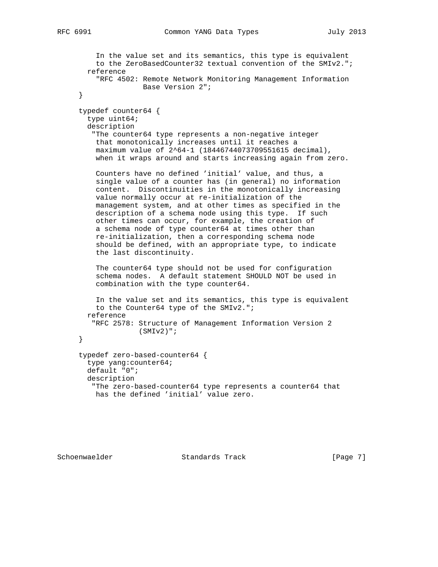```
 In the value set and its semantics, this type is equivalent
     to the ZeroBasedCounter32 textual convention of the SMIv2.";
  reference
     "RFC 4502: Remote Network Monitoring Management Information
                Base Version 2";
 }
 typedef counter64 {
  type uint64;
  description
    "The counter64 type represents a non-negative integer
    that monotonically increases until it reaches a
     maximum value of 2^64-1 (18446744073709551615 decimal),
     when it wraps around and starts increasing again from zero.
     Counters have no defined 'initial' value, and thus, a
     single value of a counter has (in general) no information
     content. Discontinuities in the monotonically increasing
     value normally occur at re-initialization of the
     management system, and at other times as specified in the
     description of a schema node using this type. If such
     other times can occur, for example, the creation of
     a schema node of type counter64 at times other than
     re-initialization, then a corresponding schema node
     should be defined, with an appropriate type, to indicate
     the last discontinuity.
     The counter64 type should not be used for configuration
     schema nodes. A default statement SHOULD NOT be used in
     combination with the type counter64.
     In the value set and its semantics, this type is equivalent
    to the Counter64 type of the SMIv2.";
  reference
    "RFC 2578: Structure of Management Information Version 2
              (SMIv2)";
 }
 typedef zero-based-counter64 {
  type yang:counter64;
  default "0";
  description
    "The zero-based-counter64 type represents a counter64 that
    has the defined 'initial' value zero.
```
Schoenwaelder Standards Track [Page 7]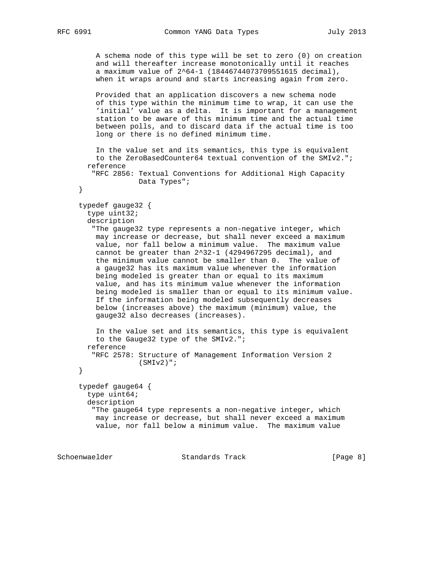```
 A schema node of this type will be set to zero (0) on creation
    and will thereafter increase monotonically until it reaches
    a maximum value of 2^64-1 (18446744073709551615 decimal),
    when it wraps around and starts increasing again from zero.
    Provided that an application discovers a new schema node
    of this type within the minimum time to wrap, it can use the
    'initial' value as a delta. It is important for a management
    station to be aware of this minimum time and the actual time
    between polls, and to discard data if the actual time is too
    long or there is no defined minimum time.
    In the value set and its semantics, this type is equivalent
    to the ZeroBasedCounter64 textual convention of the SMIv2.";
  reference
    "RFC 2856: Textual Conventions for Additional High Capacity
              Data Types";
 }
 typedef gauge32 {
  type uint32;
  description
    "The gauge32 type represents a non-negative integer, which
    may increase or decrease, but shall never exceed a maximum
    value, nor fall below a minimum value. The maximum value
    cannot be greater than 2^32-1 (4294967295 decimal), and
    the minimum value cannot be smaller than 0. The value of
    a gauge32 has its maximum value whenever the information
    being modeled is greater than or equal to its maximum
    value, and has its minimum value whenever the information
    being modeled is smaller than or equal to its minimum value.
    If the information being modeled subsequently decreases
    below (increases above) the maximum (minimum) value, the
    gauge32 also decreases (increases).
    In the value set and its semantics, this type is equivalent
    to the Gauge32 type of the SMIv2.";
  reference
    "RFC 2578: Structure of Management Information Version 2
               (SMIv2)";
 }
 typedef gauge64 {
  type uint64;
  description
    "The gauge64 type represents a non-negative integer, which
    may increase or decrease, but shall never exceed a maximum
    value, nor fall below a minimum value. The maximum value
```
Schoenwaelder Standards Track [Page 8]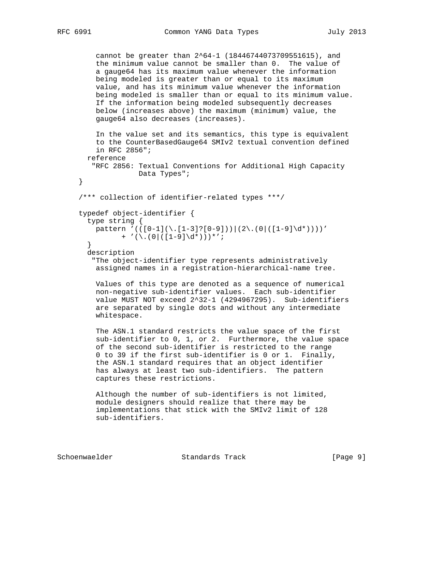```
 cannot be greater than 2^64-1 (18446744073709551615), and
     the minimum value cannot be smaller than 0. The value of
     a gauge64 has its maximum value whenever the information
     being modeled is greater than or equal to its maximum
     value, and has its minimum value whenever the information
     being modeled is smaller than or equal to its minimum value.
     If the information being modeled subsequently decreases
    below (increases above) the maximum (minimum) value, the
     gauge64 also decreases (increases).
     In the value set and its semantics, this type is equivalent
     to the CounterBasedGauge64 SMIv2 textual convention defined
    in RFC 2856";
  reference
    "RFC 2856: Textual Conventions for Additional High Capacity
              Data Types";
 }
 /*** collection of identifier-related types ***/
 typedef object-identifier {
  type string {
   pattern '(([0-1](\.[1-3]?[0-9]))|(2\.(0|([1-9]\d*))))'
          + '(\lambda \cdot (0 | ([1-9]\dagger d^*)) * ';
   }
   description
    "The object-identifier type represents administratively
     assigned names in a registration-hierarchical-name tree.
    Values of this type are denoted as a sequence of numerical
     non-negative sub-identifier values. Each sub-identifier
     value MUST NOT exceed 2^32-1 (4294967295). Sub-identifiers
     are separated by single dots and without any intermediate
     whitespace.
     The ASN.1 standard restricts the value space of the first
     sub-identifier to 0, 1, or 2. Furthermore, the value space
     of the second sub-identifier is restricted to the range
     0 to 39 if the first sub-identifier is 0 or 1. Finally,
     the ASN.1 standard requires that an object identifier
```
 Although the number of sub-identifiers is not limited, module designers should realize that there may be implementations that stick with the SMIv2 limit of 128 sub-identifiers.

has always at least two sub-identifiers. The pattern

captures these restrictions.

Schoenwaelder Standards Track [Page 9]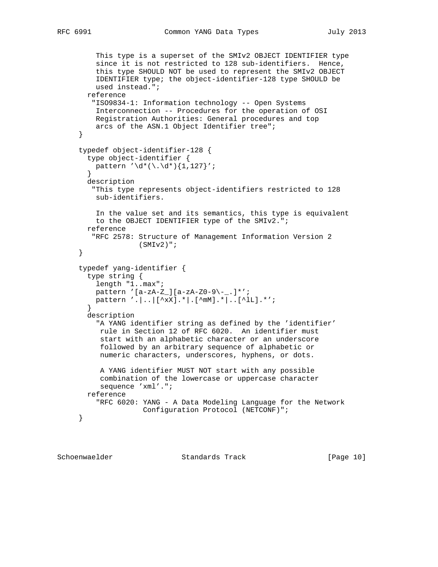```
 This type is a superset of the SMIv2 OBJECT IDENTIFIER type
          since it is not restricted to 128 sub-identifiers. Hence,
          this type SHOULD NOT be used to represent the SMIv2 OBJECT
          IDENTIFIER type; the object-identifier-128 type SHOULD be
          used instead.";
       reference
         "ISO9834-1: Information technology -- Open Systems
         Interconnection -- Procedures for the operation of OSI
         Registration Authorities: General procedures and top
          arcs of the ASN.1 Object Identifier tree";
     }
     typedef object-identifier-128 {
       type object-identifier {
        pattern '\d^*(\.\d^*)\{1,127\}';
 }
       description
         "This type represents object-identifiers restricted to 128
         sub-identifiers.
         In the value set and its semantics, this type is equivalent
         to the OBJECT IDENTIFIER type of the SMIv2.";
       reference
         "RFC 2578: Structure of Management Information Version 2
                    (SMIv2)";
     }
     typedef yang-identifier {
       type string {
          length "1..max";
         pattern '[a-zA-Z_][a-zA-Z0-9\-_.]*';
        pattern '.|..|[^xX].*|.[^mM].*|..[^lL].*';
        }
       description
          "A YANG identifier string as defined by the 'identifier'
          rule in Section 12 of RFC 6020. An identifier must
           start with an alphabetic character or an underscore
           followed by an arbitrary sequence of alphabetic or
          numeric characters, underscores, hyphens, or dots.
          A YANG identifier MUST NOT start with any possible
           combination of the lowercase or uppercase character
           sequence 'xml'.";
       reference
          "RFC 6020: YANG - A Data Modeling Language for the Network
                     Configuration Protocol (NETCONF)";
     }
```
Schoenwaelder Standards Track [Page 10]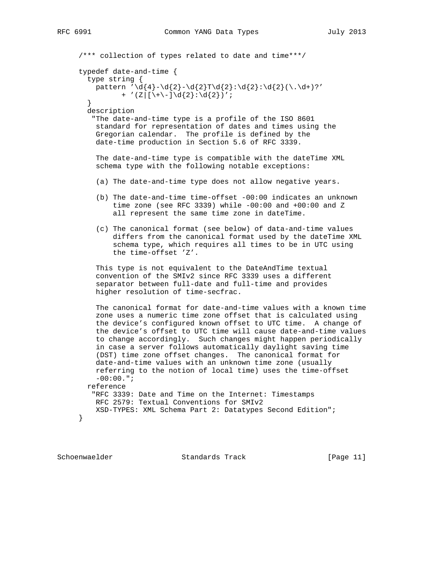```
 /*** collection of types related to date and time***/
 typedef date-and-time {
   type string {
   pattern '\d{4}-\d{2}-\d{2}T\d{2}:\d{2}:\d{2}(\.\d+)?'
          + '(Z|[\{\+(-]\d{2}:\d{2}\}\)'; }
   description
    "The date-and-time type is a profile of the ISO 8601
    standard for representation of dates and times using the
    Gregorian calendar. The profile is defined by the
    date-time production in Section 5.6 of RFC 3339.
    The date-and-time type is compatible with the dateTime XML
    schema type with the following notable exceptions:
     (a) The date-and-time type does not allow negative years.
     (b) The date-and-time time-offset -00:00 indicates an unknown
        time zone (see RFC 3339) while -00:00 and +00:00 and Z
         all represent the same time zone in dateTime.
     (c) The canonical format (see below) of data-and-time values
         differs from the canonical format used by the dateTime XML
         schema type, which requires all times to be in UTC using
         the time-offset 'Z'.
    This type is not equivalent to the DateAndTime textual
    convention of the SMIv2 since RFC 3339 uses a different
    separator between full-date and full-time and provides
    higher resolution of time-secfrac.
    The canonical format for date-and-time values with a known time
    zone uses a numeric time zone offset that is calculated using
    the device's configured known offset to UTC time. A change of
    the device's offset to UTC time will cause date-and-time values
    to change accordingly. Such changes might happen periodically
    in case a server follows automatically daylight saving time
     (DST) time zone offset changes. The canonical format for
    date-and-time values with an unknown time zone (usually
    referring to the notion of local time) uses the time-offset
    -00:00.";
  reference
    "RFC 3339: Date and Time on the Internet: Timestamps
    RFC 2579: Textual Conventions for SMIv2
    XSD-TYPES: XML Schema Part 2: Datatypes Second Edition";
 }
```
Schoenwaelder Standards Track [Page 11]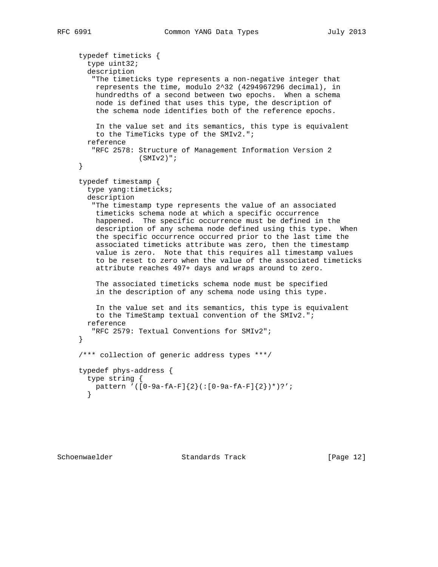```
 typedef timeticks {
  type uint32;
  description
    "The timeticks type represents a non-negative integer that
    represents the time, modulo 2^32 (4294967296 decimal), in
    hundredths of a second between two epochs. When a schema
    node is defined that uses this type, the description of
    the schema node identifies both of the reference epochs.
    In the value set and its semantics, this type is equivalent
    to the TimeTicks type of the SMIv2.";
  reference
    "RFC 2578: Structure of Management Information Version 2
               (SMIv2)";
 }
 typedef timestamp {
   type yang:timeticks;
  description
    "The timestamp type represents the value of an associated
    timeticks schema node at which a specific occurrence
    happened. The specific occurrence must be defined in the
     description of any schema node defined using this type. When
    the specific occurrence occurred prior to the last time the
     associated timeticks attribute was zero, then the timestamp
     value is zero. Note that this requires all timestamp values
     to be reset to zero when the value of the associated timeticks
     attribute reaches 497+ days and wraps around to zero.
     The associated timeticks schema node must be specified
     in the description of any schema node using this type.
     In the value set and its semantics, this type is equivalent
     to the TimeStamp textual convention of the SMIv2.";
  reference
    "RFC 2579: Textual Conventions for SMIv2";
 }
 /*** collection of generic address types ***/
 typedef phys-address {
  type string {
    pattern '([0-9a-fA-F]{2}(:[0-9a-fA-F]{2})*)?';
   }
```
Schoenwaelder Standards Track [Page 12]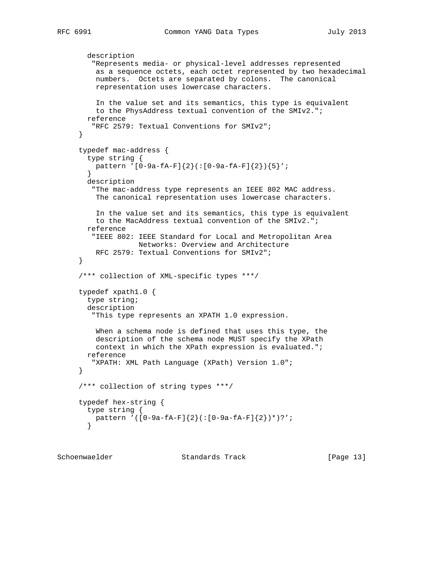```
 description
         "Represents media- or physical-level addresses represented
          as a sequence octets, each octet represented by two hexadecimal
         numbers. Octets are separated by colons. The canonical
         representation uses lowercase characters.
          In the value set and its semantics, this type is equivalent
         to the PhysAddress textual convention of the SMIv2.";
       reference
         "RFC 2579: Textual Conventions for SMIv2";
      }
     typedef mac-address {
        type string {
         pattern '[0-9a-fA-F]{2}(:[0-9a-fA-F]{2}){5}';
 }
       description
         "The mac-address type represents an IEEE 802 MAC address.
         The canonical representation uses lowercase characters.
          In the value set and its semantics, this type is equivalent
         to the MacAddress textual convention of the SMIv2.";
       reference
         "IEEE 802: IEEE Standard for Local and Metropolitan Area
                    Networks: Overview and Architecture
         RFC 2579: Textual Conventions for SMIv2";
      }
      /*** collection of XML-specific types ***/
     typedef xpath1.0 {
       type string;
       description
         "This type represents an XPATH 1.0 expression.
          When a schema node is defined that uses this type, the
          description of the schema node MUST specify the XPath
          context in which the XPath expression is evaluated.";
       reference
         "XPATH: XML Path Language (XPath) Version 1.0";
      }
     /*** collection of string types ***/
     typedef hex-string {
       type string {
         pattern '([0-9a-fA-F]{2}(:[0-9a-fA-F]{2})*)?';
        }
```
Schoenwaelder Standards Track [Page 13]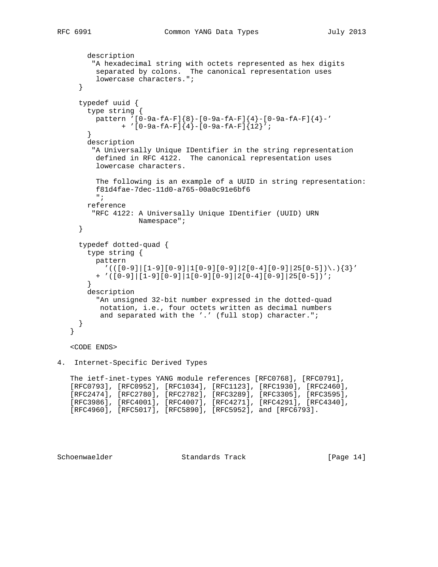```
 description
      "A hexadecimal string with octets represented as hex digits
       separated by colons. The canonical representation uses
       lowercase characters.";
   }
   typedef uuid {
     type string {
      pattern '[0-9a-fA-F]{8}-[0-9a-fA-F]{4}-[0-9a-fA-F]{4}-'
             + '[0-9a-fA-F]{4}-[0-9a-fA-F]{12}';
     }
     description
      "A Universally Unique IDentifier in the string representation
       defined in RFC 4122. The canonical representation uses
       lowercase characters.
       The following is an example of a UUID in string representation:
       f81d4fae-7dec-11d0-a765-00a0c91e6bf6
       ";
    reference
      "RFC 4122: A Universally Unique IDentifier (UUID) URN
                 Namespace";
   }
   typedef dotted-quad {
     type string {
      pattern
       '(([0-9][1-9][0-9][1[0-9][0-9][2[0-4][0-9][25[0-5])\mathcal{S})'] + '([0-9]|[1-9][0-9]|1[0-9][0-9]|2[0-4][0-9]|25[0-5])';
     }
     description
       "An unsigned 32-bit number expressed in the dotted-quad
       notation, i.e., four octets written as decimal numbers
       and separated with the '.' (full stop) character.";
   }
 <CODE ENDS>
```

```
4. Internet-Specific Derived Types
```
 The ietf-inet-types YANG module references [RFC0768], [RFC0791], [RFC0793], [RFC0952], [RFC1034], [RFC1123], [RFC1930], [RFC2460], [RFC2474], [RFC2780], [RFC2782], [RFC3289], [RFC3305], [RFC3595], [RFC3986], [RFC4001], [RFC4007], [RFC4271], [RFC4291], [RFC4340], [RFC4960], [RFC5017], [RFC5890], [RFC5952], and [RFC6793].

}

Schoenwaelder Standards Track [Page 14]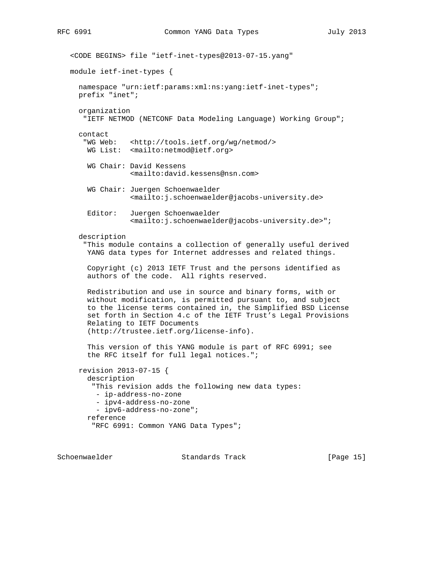```
 <CODE BEGINS> file "ietf-inet-types@2013-07-15.yang"
 module ietf-inet-types {
   namespace "urn:ietf:params:xml:ns:yang:ietf-inet-types";
  prefix "inet";
   organization
    "IETF NETMOD (NETCONF Data Modeling Language) Working Group";
   contact
    "WG Web: <http://tools.ietf.org/wg/netmod/>
    WG List: <mailto:netmod@ietf.org>
     WG Chair: David Kessens
               <mailto:david.kessens@nsn.com>
     WG Chair: Juergen Schoenwaelder
               <mailto:j.schoenwaelder@jacobs-university.de>
     Editor: Juergen Schoenwaelder
               <mailto:j.schoenwaelder@jacobs-university.de>";
   description
    "This module contains a collection of generally useful derived
     YANG data types for Internet addresses and related things.
     Copyright (c) 2013 IETF Trust and the persons identified as
     authors of the code. All rights reserved.
     Redistribution and use in source and binary forms, with or
     without modification, is permitted pursuant to, and subject
     to the license terms contained in, the Simplified BSD License
     set forth in Section 4.c of the IETF Trust's Legal Provisions
     Relating to IETF Documents
     (http://trustee.ietf.org/license-info).
     This version of this YANG module is part of RFC 6991; see
     the RFC itself for full legal notices.";
   revision 2013-07-15 {
     description
      "This revision adds the following new data types:
       - ip-address-no-zone
       - ipv4-address-no-zone
       - ipv6-address-no-zone";
     reference
      "RFC 6991: Common YANG Data Types";
```
Schoenwaelder Standards Track [Page 15]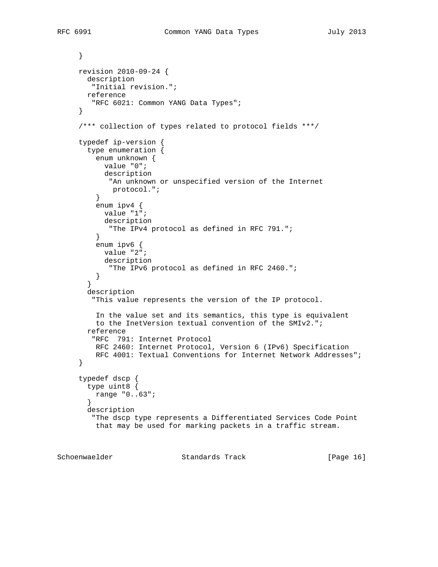} revision 2010-09-24 { description "Initial revision."; reference "RFC 6021: Common YANG Data Types"; } /\*\*\* collection of types related to protocol fields \*\*\*/ typedef ip-version { type enumeration { enum unknown { value "0"; description "An unknown or unspecified version of the Internet protocol."; } enum ipv4 { value "1"; description "The IPv4 protocol as defined in RFC 791."; } enum ipv6 { value "2"; description "The IPv6 protocol as defined in RFC 2460."; } } description "This value represents the version of the IP protocol. In the value set and its semantics, this type is equivalent to the InetVersion textual convention of the SMIv2."; reference "RFC 791: Internet Protocol RFC 2460: Internet Protocol, Version 6 (IPv6) Specification RFC 4001: Textual Conventions for Internet Network Addresses"; } typedef dscp { type uint8 { range "0..63"; } description "The dscp type represents a Differentiated Services Code Point that may be used for marking packets in a traffic stream.

Schoenwaelder Standards Track [Page 16]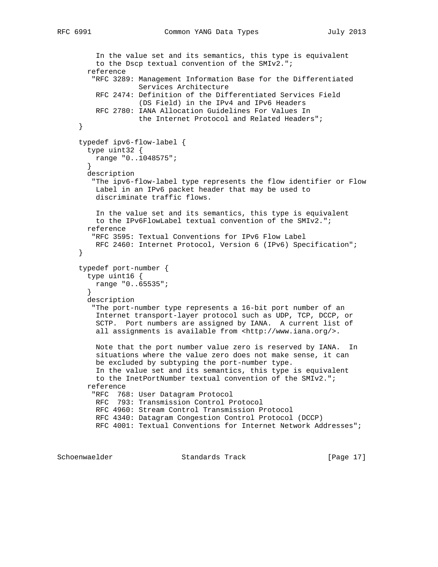```
 In the value set and its semantics, this type is equivalent
         to the Dscp textual convention of the SMIv2.";
       reference
         "RFC 3289: Management Information Base for the Differentiated
                    Services Architecture
         RFC 2474: Definition of the Differentiated Services Field
                    (DS Field) in the IPv4 and IPv6 Headers
         RFC 2780: IANA Allocation Guidelines For Values In
                   the Internet Protocol and Related Headers";
     }
      typedef ipv6-flow-label {
       type uint32 {
         range "0..1048575";
 }
       description
         "The ipv6-flow-label type represents the flow identifier or Flow
         Label in an IPv6 packet header that may be used to
         discriminate traffic flows.
         In the value set and its semantics, this type is equivalent
         to the IPv6FlowLabel textual convention of the SMIv2.";
       reference
         "RFC 3595: Textual Conventions for IPv6 Flow Label
         RFC 2460: Internet Protocol, Version 6 (IPv6) Specification";
      }
     typedef port-number {
       type uint16 {
         range "0..65535";
 }
       description
         "The port-number type represents a 16-bit port number of an
         Internet transport-layer protocol such as UDP, TCP, DCCP, or
         SCTP. Port numbers are assigned by IANA. A current list of
        all assignments is available from <http://www.iana.org/>.
         Note that the port number value zero is reserved by IANA. In
         situations where the value zero does not make sense, it can
         be excluded by subtyping the port-number type.
         In the value set and its semantics, this type is equivalent
         to the InetPortNumber textual convention of the SMIv2.";
       reference
         "RFC 768: User Datagram Protocol
         RFC 793: Transmission Control Protocol
         RFC 4960: Stream Control Transmission Protocol
         RFC 4340: Datagram Congestion Control Protocol (DCCP)
         RFC 4001: Textual Conventions for Internet Network Addresses";
```
Schoenwaelder Standards Track [Page 17]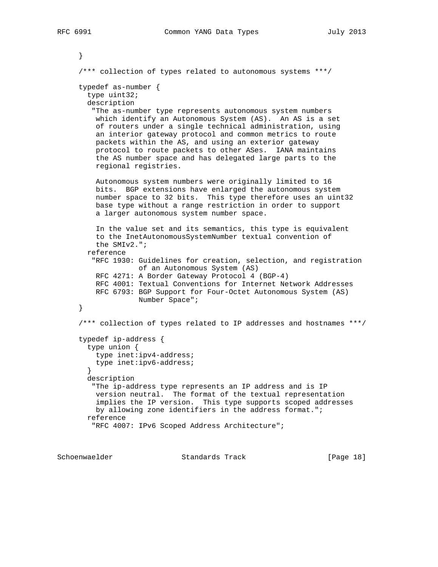```
 }
      /*** collection of types related to autonomous systems ***/
     typedef as-number {
        type uint32;
       description
         "The as-number type represents autonomous system numbers
         which identify an Autonomous System (AS). An AS is a set
         of routers under a single technical administration, using
         an interior gateway protocol and common metrics to route
         packets within the AS, and using an exterior gateway
         protocol to route packets to other ASes. IANA maintains
         the AS number space and has delegated large parts to the
         regional registries.
         Autonomous system numbers were originally limited to 16
         bits. BGP extensions have enlarged the autonomous system
         number space to 32 bits. This type therefore uses an uint32
         base type without a range restriction in order to support
         a larger autonomous system number space.
         In the value set and its semantics, this type is equivalent
         to the InetAutonomousSystemNumber textual convention of
         the SMIv2.";
        reference
         "RFC 1930: Guidelines for creation, selection, and registration
                    of an Autonomous System (AS)
         RFC 4271: A Border Gateway Protocol 4 (BGP-4)
         RFC 4001: Textual Conventions for Internet Network Addresses
         RFC 6793: BGP Support for Four-Octet Autonomous System (AS)
                    Number Space";
     }
      /*** collection of types related to IP addresses and hostnames ***/
      typedef ip-address {
       type union {
         type inet:ipv4-address;
         type inet:ipv6-address;
 }
       description
         "The ip-address type represents an IP address and is IP
         version neutral. The format of the textual representation
         implies the IP version. This type supports scoped addresses
         by allowing zone identifiers in the address format.";
       reference
         "RFC 4007: IPv6 Scoped Address Architecture";
```

```
Schoenwaelder Standards Track [Page 18]
```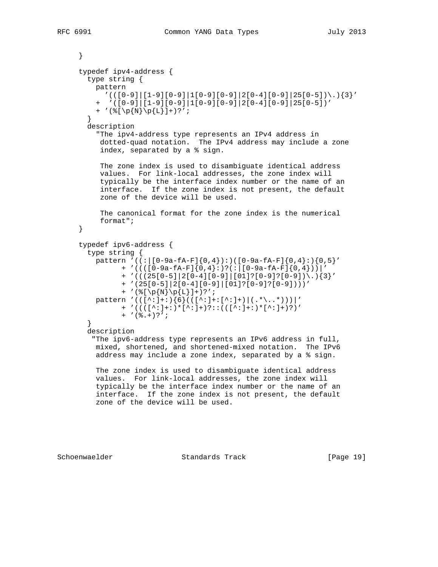```
 }
 typedef ipv4-address {
   type string {
    pattern
     '(([0-9][1-9][0-9][1[0-9][0-9][2[0-4][0-9][25[0-5]))\,] + '([0-9]|[1-9][0-9]|1[0-9][0-9]|2[0-4][0-9]|25[0-5])'
     + '(%[\p{N}\p{L}]+)?';
   }
   description
     "The ipv4-address type represents an IPv4 address in
     dotted-quad notation. The IPv4 address may include a zone
      index, separated by a % sign.
      The zone index is used to disambiguate identical address
      values. For link-local addresses, the zone index will
      typically be the interface index number or the name of an
      interface. If the zone index is not present, the default
      zone of the device will be used.
      The canonical format for the zone index is the numerical
      format";
 }
 typedef ipv6-address {
   type string {
    pattern '((:|[0-9a-fA-F]{0,4}):)([0-9a-fA-F]{0,4}:){0,5}'
           + '((([0-9a-fA-F]{0,4}:)?(:|[0-9a-fA-F]{0,4}))|'
           + '(((25[0-5]|2[0-4][0-9]|[01]?[0-9]?[0-9])\.){3}'
           + '(25[0-5]|2[0-4][0-9]|[01]?[0-9]?[0-9])))'
          + '(\{N\} \p{L} \} + '
    pattern '(([^:]+:){6}(([^:]+:[^:]+)|(.*\..*)))|'
           + '((([^:]+:)*[^:]+)?::(([^:]+:)*[^:]+)?)'
          + '(\S. +)?';
   }
   description
    "The ipv6-address type represents an IPv6 address in full,
     mixed, shortened, and shortened-mixed notation. The IPv6
     address may include a zone index, separated by a % sign.
     The zone index is used to disambiguate identical address
     values. For link-local addresses, the zone index will
     typically be the interface index number or the name of an
     interface. If the zone index is not present, the default
     zone of the device will be used.
```
Schoenwaelder Standards Track [Page 19]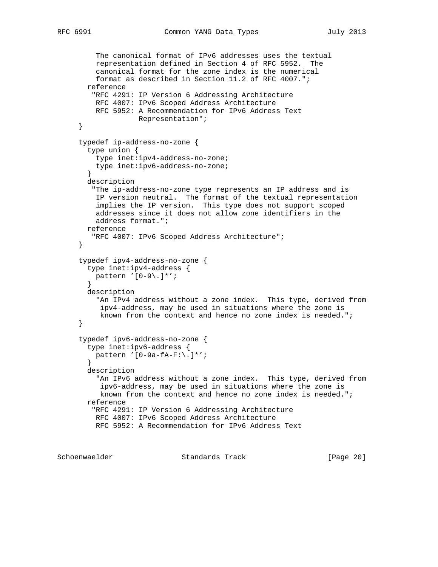```
 The canonical format of IPv6 addresses uses the textual
         representation defined in Section 4 of RFC 5952. The
         canonical format for the zone index is the numerical
         format as described in Section 11.2 of RFC 4007.";
       reference
         "RFC 4291: IP Version 6 Addressing Architecture
         RFC 4007: IPv6 Scoped Address Architecture
         RFC 5952: A Recommendation for IPv6 Address Text
                   Representation";
      }
      typedef ip-address-no-zone {
       type union {
         type inet:ipv4-address-no-zone;
         type inet:ipv6-address-no-zone;
 }
       description
         "The ip-address-no-zone type represents an IP address and is
         IP version neutral. The format of the textual representation
         implies the IP version. This type does not support scoped
         addresses since it does not allow zone identifiers in the
         address format.";
       reference
         "RFC 4007: IPv6 Scoped Address Architecture";
      }
      typedef ipv4-address-no-zone {
        type inet:ipv4-address {
         pattern '[0-9\.]*';
 }
       description
          "An IPv4 address without a zone index. This type, derived from
          ipv4-address, may be used in situations where the zone is
          known from the context and hence no zone index is needed.";
      }
      typedef ipv6-address-no-zone {
       type inet:ipv6-address {
         pattern '[0-9a-fA-F:\.]*';
 }
       description
          "An IPv6 address without a zone index. This type, derived from
          ipv6-address, may be used in situations where the zone is
          known from the context and hence no zone index is needed.";
        reference
         "RFC 4291: IP Version 6 Addressing Architecture
         RFC 4007: IPv6 Scoped Address Architecture
         RFC 5952: A Recommendation for IPv6 Address Text
Schoenwaelder Standards Track [Page 20]
```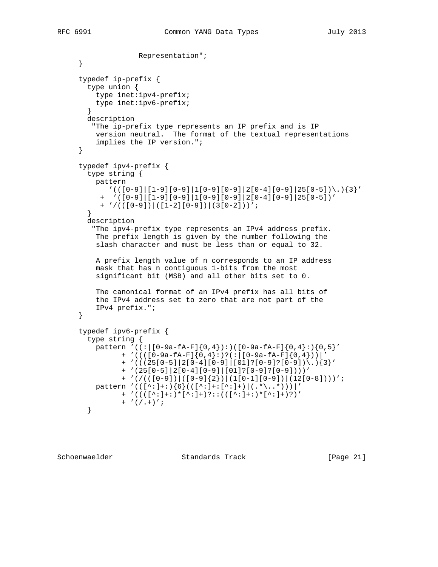```
 Representation";
      }
      typedef ip-prefix {
       type union {
         type inet:ipv4-prefix;
         type inet:ipv6-prefix;
 }
       description
         "The ip-prefix type represents an IP prefix and is IP
         version neutral. The format of the textual representations
          implies the IP version.";
      }
      typedef ipv4-prefix {
       type string {
         pattern
           '(([0-9][1-9][0-9][1[0-9][0-9][2[0-4][0-9][25[0-5])\mathcal{S})'] + '([0-9]|[1-9][0-9]|1[0-9][0-9]|2[0-4][0-9]|25[0-5])'
           + '/(([0-9])|([1-2][0-9])|(3[0-2]))';
        }
       description
         "The ipv4-prefix type represents an IPv4 address prefix.
          The prefix length is given by the number following the
          slash character and must be less than or equal to 32.
          A prefix length value of n corresponds to an IP address
          mask that has n contiguous 1-bits from the most
          significant bit (MSB) and all other bits set to 0.
          The canonical format of an IPv4 prefix has all bits of
          the IPv4 address set to zero that are not part of the
          IPv4 prefix.";
      }
      typedef ipv6-prefix {
        type string {
         pattern '((:[0-9a-fA-F]\{0,4\}):)([0-9a-fA-F]\{0,4\}:)\{0,5\}' + '((([0-9a-fA-F]{0,4}:)?(:|[0-9a-fA-F]{0,4}))|'
                + '(((25[0-5]|2[0-4][0-9]|[01]?[0-9]?[0-9])\.){3}'
                + '(25[0-5]|2[0-4][0-9]|[01]?[0-9]?[0-9])))'
                + '(/(([0-9])|([0-9]{2})|(1[0-1][0-9])|(12[0-8])))';
         pattern '(([^:]+:){6}(([^:]+:[^:]+)|(.*\..*)))|'
                + '((([^:]+:)*[^:]+)?::(([^:]+:)*[^:]+)?)'
               + '(/.+)';
        }
```
Schoenwaelder Standards Track [Page 21]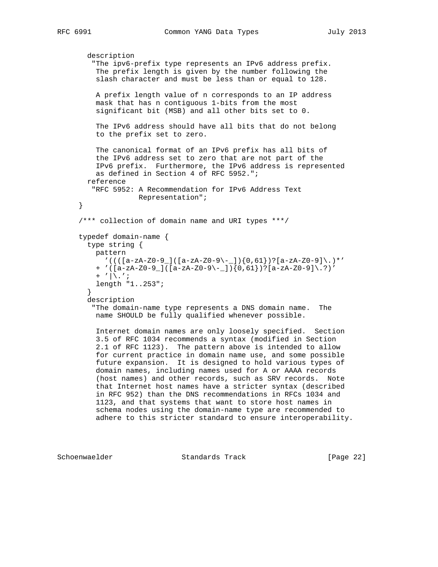```
 description
    "The ipv6-prefix type represents an IPv6 address prefix.
    The prefix length is given by the number following the
     slash character and must be less than or equal to 128.
    A prefix length value of n corresponds to an IP address
    mask that has n contiguous 1-bits from the most
    significant bit (MSB) and all other bits set to 0.
    The IPv6 address should have all bits that do not belong
    to the prefix set to zero.
    The canonical format of an IPv6 prefix has all bits of
    the IPv6 address set to zero that are not part of the
    IPv6 prefix. Furthermore, the IPv6 address is represented
    as defined in Section 4 of RFC 5952.";
  reference
    "RFC 5952: A Recommendation for IPv6 Address Text
             Representation";
 }
 /*** collection of domain name and URI types ***/
 typedef domain-name {
  type string {
    pattern
     '((([a-zA-Z0-9])([a-zA-Z0-9\}-]){0,61})?[a-zA-Z0-9]\.)*'
    + '([a-zA-Z0-9_]([a-zA-Z0-9\-_]){0,61})?[a-zA-Z0-9]\.?)'
   + '|\.';
    length "1..253";
   }
   description
    "The domain-name type represents a DNS domain name. The
    name SHOULD be fully qualified whenever possible.
    Internet domain names are only loosely specified. Section
    3.5 of RFC 1034 recommends a syntax (modified in Section
     2.1 of RFC 1123). The pattern above is intended to allow
    for current practice in domain name use, and some possible
    future expansion. It is designed to hold various types of
    domain names, including names used for A or AAAA records
     (host names) and other records, such as SRV records. Note
    that Internet host names have a stricter syntax (described
    in RFC 952) than the DNS recommendations in RFCs 1034 and
    1123, and that systems that want to store host names in
    schema nodes using the domain-name type are recommended to
    adhere to this stricter standard to ensure interoperability.
```
Schoenwaelder Standards Track [Page 22]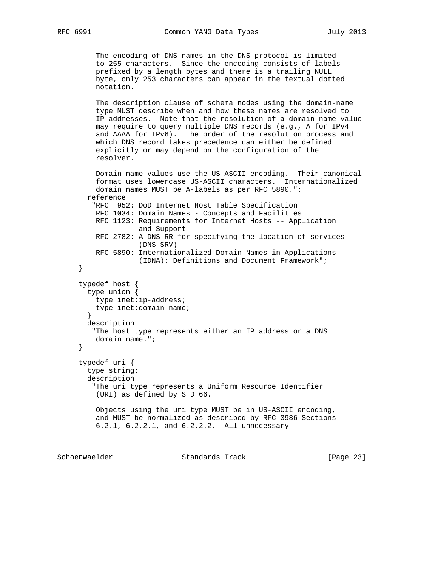```
 The encoding of DNS names in the DNS protocol is limited
         to 255 characters. Since the encoding consists of labels
         prefixed by a length bytes and there is a trailing NULL
         byte, only 253 characters can appear in the textual dotted
         notation.
         The description clause of schema nodes using the domain-name
         type MUST describe when and how these names are resolved to
         IP addresses. Note that the resolution of a domain-name value
         may require to query multiple DNS records (e.g., A for IPv4
         and AAAA for IPv6). The order of the resolution process and
         which DNS record takes precedence can either be defined
         explicitly or may depend on the configuration of the
         resolver.
         Domain-name values use the US-ASCII encoding. Their canonical
         format uses lowercase US-ASCII characters. Internationalized
         domain names MUST be A-labels as per RFC 5890.";
       reference
         "RFC 952: DoD Internet Host Table Specification
         RFC 1034: Domain Names - Concepts and Facilities
         RFC 1123: Requirements for Internet Hosts -- Application
                    and Support
         RFC 2782: A DNS RR for specifying the location of services
                    (DNS SRV)
         RFC 5890: Internationalized Domain Names in Applications
                    (IDNA): Definitions and Document Framework";
      }
      typedef host {
       type union {
         type inet:ip-address;
         type inet:domain-name;
        }
       description
         "The host type represents either an IP address or a DNS
         domain name.";
      }
      typedef uri {
        type string;
       description
         "The uri type represents a Uniform Resource Identifier
         (URI) as defined by STD 66.
         Objects using the uri type MUST be in US-ASCII encoding,
         and MUST be normalized as described by RFC 3986 Sections
         6.2.1, 6.2.2.1, and 6.2.2.2. All unnecessary
Schoenwaelder Standards Track [Page 23]
```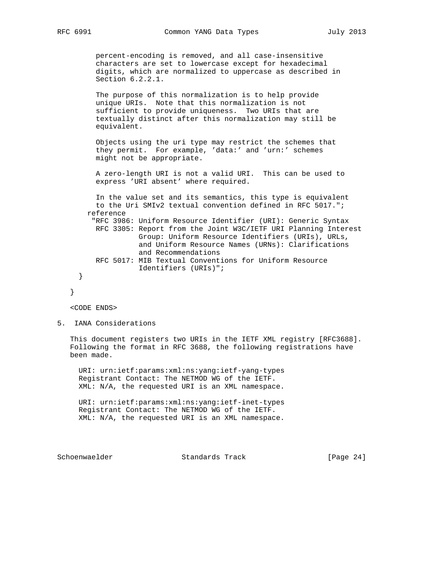percent-encoding is removed, and all case-insensitive characters are set to lowercase except for hexadecimal digits, which are normalized to uppercase as described in Section 6.2.2.1.

 The purpose of this normalization is to help provide unique URIs. Note that this normalization is not sufficient to provide uniqueness. Two URIs that are textually distinct after this normalization may still be equivalent.

 Objects using the uri type may restrict the schemes that they permit. For example, 'data:' and 'urn:' schemes might not be appropriate.

 A zero-length URI is not a valid URI. This can be used to express 'URI absent' where required.

 In the value set and its semantics, this type is equivalent to the Uri SMIv2 textual convention defined in RFC 5017."; reference "RFC 3986: Uniform Resource Identifier (URI): Generic Syntax RFC 3305: Report from the Joint W3C/IETF URI Planning Interest Group: Uniform Resource Identifiers (URIs), URLs, and Uniform Resource Names (URNs): Clarifications and Recommendations RFC 5017: MIB Textual Conventions for Uniform Resource Identifiers (URIs)"; }

```
 }
```
<CODE ENDS>

5. IANA Considerations

 This document registers two URIs in the IETF XML registry [RFC3688]. Following the format in RFC 3688, the following registrations have been made.

 URI: urn:ietf:params:xml:ns:yang:ietf-yang-types Registrant Contact: The NETMOD WG of the IETF. XML: N/A, the requested URI is an XML namespace.

 URI: urn:ietf:params:xml:ns:yang:ietf-inet-types Registrant Contact: The NETMOD WG of the IETF. XML: N/A, the requested URI is an XML namespace.

Schoenwaelder **Standards Track** [Page 24]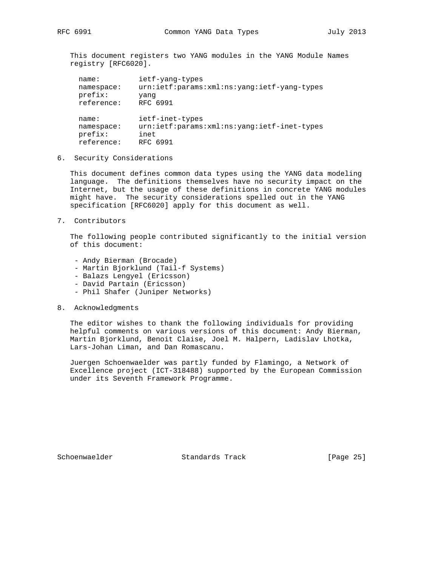This document registers two YANG modules in the YANG Module Names registry [RFC6020].

| name:      | ietf-yang-types                             |
|------------|---------------------------------------------|
| namespace: | urn:ietf:params:xml:ns:yang:ietf-yang-types |
| prefix:    | yang                                        |
| reference: | RFC 6991                                    |
| name:      | ietf-inet-types                             |
| namespace: | urn:ietf:params:xml:ns:yang:ietf-inet-types |
| prefix:    | inet                                        |
| reference: | RFC 6991                                    |

6. Security Considerations

 This document defines common data types using the YANG data modeling language. The definitions themselves have no security impact on the Internet, but the usage of these definitions in concrete YANG modules might have. The security considerations spelled out in the YANG specification [RFC6020] apply for this document as well.

7. Contributors

 The following people contributed significantly to the initial version of this document:

- Andy Bierman (Brocade)
- Martin Bjorklund (Tail-f Systems)
- Balazs Lengyel (Ericsson)
- David Partain (Ericsson)
- Phil Shafer (Juniper Networks)
- 8. Acknowledgments

 The editor wishes to thank the following individuals for providing helpful comments on various versions of this document: Andy Bierman, Martin Bjorklund, Benoit Claise, Joel M. Halpern, Ladislav Lhotka, Lars-Johan Liman, and Dan Romascanu.

 Juergen Schoenwaelder was partly funded by Flamingo, a Network of Excellence project (ICT-318488) supported by the European Commission under its Seventh Framework Programme.

Schoenwaelder Standards Track [Page 25]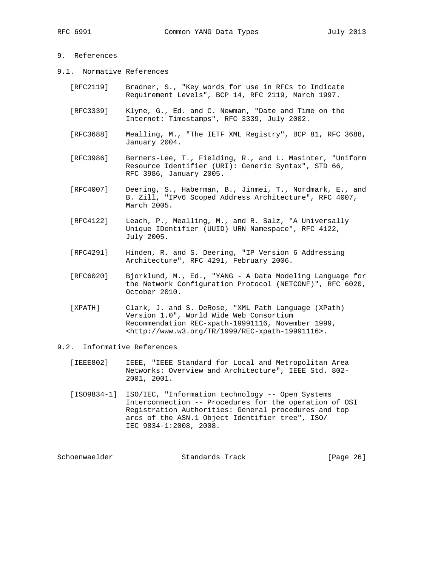# 9. References

- 9.1. Normative References
	- [RFC2119] Bradner, S., "Key words for use in RFCs to Indicate Requirement Levels", BCP 14, RFC 2119, March 1997.
	- [RFC3339] Klyne, G., Ed. and C. Newman, "Date and Time on the Internet: Timestamps", RFC 3339, July 2002.
	- [RFC3688] Mealling, M., "The IETF XML Registry", BCP 81, RFC 3688, January 2004.
	- [RFC3986] Berners-Lee, T., Fielding, R., and L. Masinter, "Uniform Resource Identifier (URI): Generic Syntax", STD 66, RFC 3986, January 2005.
	- [RFC4007] Deering, S., Haberman, B., Jinmei, T., Nordmark, E., and B. Zill, "IPv6 Scoped Address Architecture", RFC 4007, March 2005.
	- [RFC4122] Leach, P., Mealling, M., and R. Salz, "A Universally Unique IDentifier (UUID) URN Namespace", RFC 4122, July 2005.
	- [RFC4291] Hinden, R. and S. Deering, "IP Version 6 Addressing Architecture", RFC 4291, February 2006.
	- [RFC6020] Bjorklund, M., Ed., "YANG A Data Modeling Language for the Network Configuration Protocol (NETCONF)", RFC 6020, October 2010.
	- [XPATH] Clark, J. and S. DeRose, "XML Path Language (XPath) Version 1.0", World Wide Web Consortium Recommendation REC-xpath-19991116, November 1999, <http://www.w3.org/TR/1999/REC-xpath-19991116>.

### 9.2. Informative References

- [IEEE802] IEEE, "IEEE Standard for Local and Metropolitan Area Networks: Overview and Architecture", IEEE Std. 802- 2001, 2001.
- [ISO9834-1] ISO/IEC, "Information technology -- Open Systems Interconnection -- Procedures for the operation of OSI Registration Authorities: General procedures and top arcs of the ASN.1 Object Identifier tree", ISO/ IEC 9834-1:2008, 2008.

| Schoenwaelder | Standards Track | [Page 26] |
|---------------|-----------------|-----------|
|---------------|-----------------|-----------|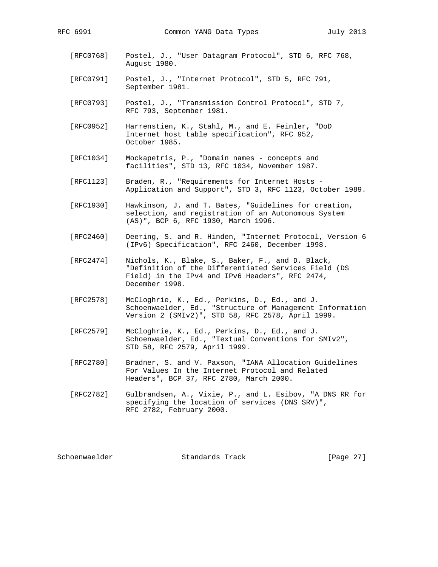- [RFC0768] Postel, J., "User Datagram Protocol", STD 6, RFC 768, August 1980.
- [RFC0791] Postel, J., "Internet Protocol", STD 5, RFC 791, September 1981.
- [RFC0793] Postel, J., "Transmission Control Protocol", STD 7, RFC 793, September 1981.
- [RFC0952] Harrenstien, K., Stahl, M., and E. Feinler, "DoD Internet host table specification", RFC 952, October 1985.
- [RFC1034] Mockapetris, P., "Domain names concepts and facilities", STD 13, RFC 1034, November 1987.
- [RFC1123] Braden, R., "Requirements for Internet Hosts Application and Support", STD 3, RFC 1123, October 1989.
- [RFC1930] Hawkinson, J. and T. Bates, "Guidelines for creation, selection, and registration of an Autonomous System (AS)", BCP 6, RFC 1930, March 1996.
- [RFC2460] Deering, S. and R. Hinden, "Internet Protocol, Version 6 (IPv6) Specification", RFC 2460, December 1998.
- [RFC2474] Nichols, K., Blake, S., Baker, F., and D. Black, "Definition of the Differentiated Services Field (DS Field) in the IPv4 and IPv6 Headers", RFC 2474, December 1998.
- [RFC2578] McCloghrie, K., Ed., Perkins, D., Ed., and J. Schoenwaelder, Ed., "Structure of Management Information Version 2 (SMIv2)", STD 58, RFC 2578, April 1999.
- [RFC2579] McCloghrie, K., Ed., Perkins, D., Ed., and J. Schoenwaelder, Ed., "Textual Conventions for SMIv2", STD 58, RFC 2579, April 1999.
- [RFC2780] Bradner, S. and V. Paxson, "IANA Allocation Guidelines For Values In the Internet Protocol and Related Headers", BCP 37, RFC 2780, March 2000.
- [RFC2782] Gulbrandsen, A., Vixie, P., and L. Esibov, "A DNS RR for specifying the location of services (DNS SRV)", RFC 2782, February 2000.

Schoenwaelder Standards Track [Page 27]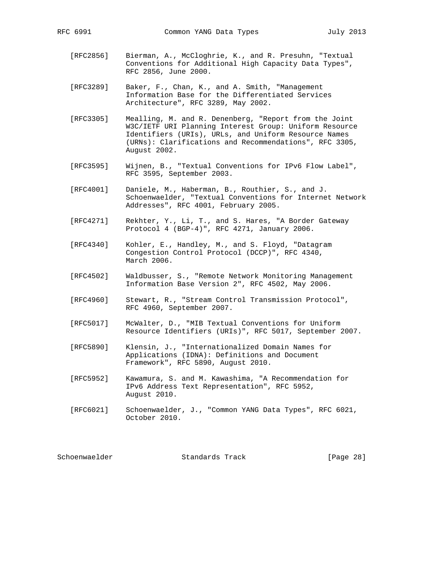- [RFC2856] Bierman, A., McCloghrie, K., and R. Presuhn, "Textual Conventions for Additional High Capacity Data Types", RFC 2856, June 2000.
- [RFC3289] Baker, F., Chan, K., and A. Smith, "Management Information Base for the Differentiated Services Architecture", RFC 3289, May 2002.
- [RFC3305] Mealling, M. and R. Denenberg, "Report from the Joint W3C/IETF URI Planning Interest Group: Uniform Resource Identifiers (URIs), URLs, and Uniform Resource Names (URNs): Clarifications and Recommendations", RFC 3305, August 2002.
- [RFC3595] Wijnen, B., "Textual Conventions for IPv6 Flow Label", RFC 3595, September 2003.
- [RFC4001] Daniele, M., Haberman, B., Routhier, S., and J. Schoenwaelder, "Textual Conventions for Internet Network Addresses", RFC 4001, February 2005.
- [RFC4271] Rekhter, Y., Li, T., and S. Hares, "A Border Gateway Protocol 4 (BGP-4)", RFC 4271, January 2006.
- [RFC4340] Kohler, E., Handley, M., and S. Floyd, "Datagram Congestion Control Protocol (DCCP)", RFC 4340, March 2006.
- [RFC4502] Waldbusser, S., "Remote Network Monitoring Management Information Base Version 2", RFC 4502, May 2006.
- [RFC4960] Stewart, R., "Stream Control Transmission Protocol", RFC 4960, September 2007.
- [RFC5017] McWalter, D., "MIB Textual Conventions for Uniform Resource Identifiers (URIs)", RFC 5017, September 2007.
- [RFC5890] Klensin, J., "Internationalized Domain Names for Applications (IDNA): Definitions and Document Framework", RFC 5890, August 2010.
- [RFC5952] Kawamura, S. and M. Kawashima, "A Recommendation for IPv6 Address Text Representation", RFC 5952, August 2010.
- [RFC6021] Schoenwaelder, J., "Common YANG Data Types", RFC 6021, October 2010.

| Schoenwaelder | Standards Track | [Page 28] |
|---------------|-----------------|-----------|
|---------------|-----------------|-----------|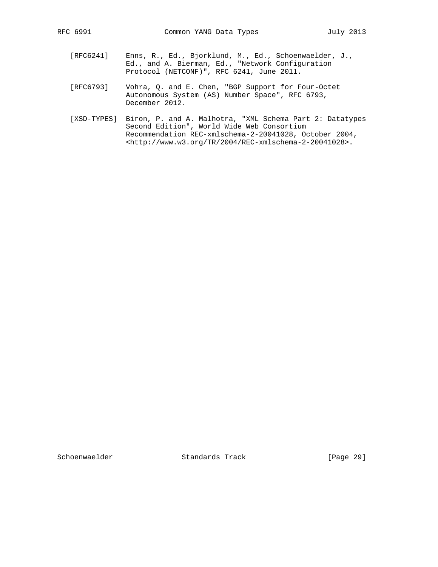- [RFC6241] Enns, R., Ed., Bjorklund, M., Ed., Schoenwaelder, J., Ed., and A. Bierman, Ed., "Network Configuration Protocol (NETCONF)", RFC 6241, June 2011.
	- [RFC6793] Vohra, Q. and E. Chen, "BGP Support for Four-Octet Autonomous System (AS) Number Space", RFC 6793, December 2012.
	- [XSD-TYPES] Biron, P. and A. Malhotra, "XML Schema Part 2: Datatypes Second Edition", World Wide Web Consortium Recommendation REC-xmlschema-2-20041028, October 2004, <http://www.w3.org/TR/2004/REC-xmlschema-2-20041028>.

Schoenwaelder Standards Track [Page 29]